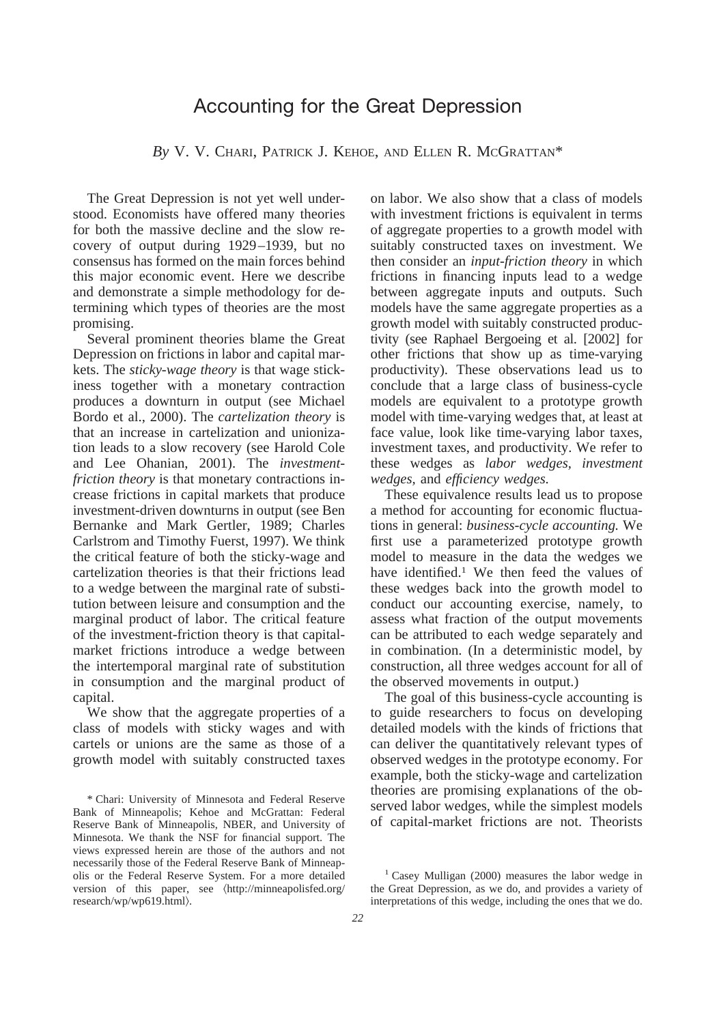*By* V. V. CHARI, PATRICK J. KEHOE, AND ELLEN R. MCGRATTAN\*

The Great Depression is not yet well understood. Economists have offered many theories for both the massive decline and the slow recovery of output during 1929–1939, but no consensus has formed on the main forces behind this major economic event. Here we describe and demonstrate a simple methodology for determining which types of theories are the most promising.

Several prominent theories blame the Great Depression on frictions in labor and capital markets. The *sticky-wage theory* is that wage stickiness together with a monetary contraction produces a downturn in output (see Michael Bordo et al., 2000). The *cartelization theory* is that an increase in cartelization and unionization leads to a slow recovery (see Harold Cole and Lee Ohanian, 2001). The *investmentfriction theory* is that monetary contractions increase frictions in capital markets that produce investment-driven downturns in output (see Ben Bernanke and Mark Gertler, 1989; Charles Carlstrom and Timothy Fuerst, 1997). We think the critical feature of both the sticky-wage and cartelization theories is that their frictions lead to a wedge between the marginal rate of substitution between leisure and consumption and the marginal product of labor. The critical feature of the investment-friction theory is that capitalmarket frictions introduce a wedge between the intertemporal marginal rate of substitution in consumption and the marginal product of capital.

We show that the aggregate properties of a class of models with sticky wages and with cartels or unions are the same as those of a growth model with suitably constructed taxes on labor. We also show that a class of models with investment frictions is equivalent in terms of aggregate properties to a growth model with suitably constructed taxes on investment. We then consider an *input-friction theory* in which frictions in financing inputs lead to a wedge between aggregate inputs and outputs. Such models have the same aggregate properties as a growth model with suitably constructed productivity (see Raphael Bergoeing et al. [2002] for other frictions that show up as time-varying productivity). These observations lead us to conclude that a large class of business-cycle models are equivalent to a prototype growth model with time-varying wedges that, at least at face value, look like time-varying labor taxes, investment taxes, and productivity. We refer to these wedges as *labor wedges, investment wedges,* and *efficiency wedges.*

These equivalence results lead us to propose a method for accounting for economic fluctuations in general: *business-cycle accounting.* We first use a parameterized prototype growth model to measure in the data the wedges we have identified.<sup>1</sup> We then feed the values of these wedges back into the growth model to conduct our accounting exercise, namely, to assess what fraction of the output movements can be attributed to each wedge separately and in combination. (In a deterministic model, by construction, all three wedges account for all of the observed movements in output.)

The goal of this business-cycle accounting is to guide researchers to focus on developing detailed models with the kinds of frictions that can deliver the quantitatively relevant types of observed wedges in the prototype economy. For example, both the sticky-wage and cartelization theories are promising explanations of the observed labor wedges, while the simplest models of capital-market frictions are not. Theorists

<sup>\*</sup> Chari: University of Minnesota and Federal Reserve Bank of Minneapolis; Kehoe and McGrattan: Federal Reserve Bank of Minneapolis, NBER, and University of Minnesota. We thank the NSF for financial support. The views expressed herein are those of the authors and not necessarily those of the Federal Reserve Bank of Minneapolis or the Federal Reserve System. For a more detailed version of this paper, see  $\langle$ http://minneapolisfed.org/ research/wp/wp619.html).

 $1$  Casey Mulligan (2000) measures the labor wedge in the Great Depression, as we do, and provides a variety of interpretations of this wedge, including the ones that we do.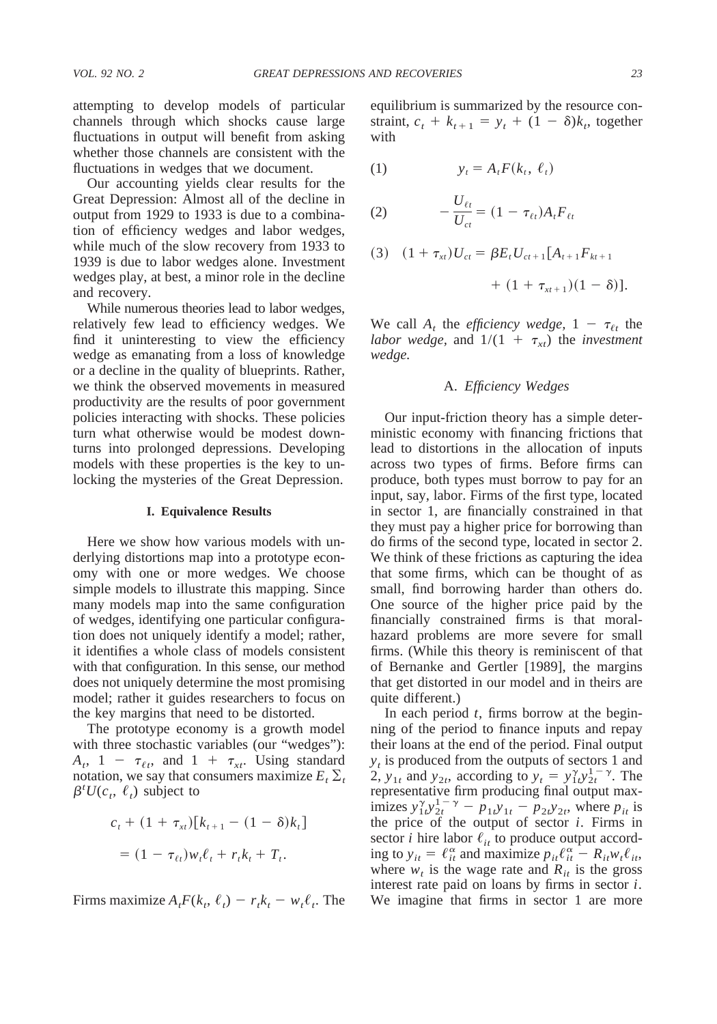attempting to develop models of particular channels through which shocks cause large fluctuations in output will benefit from asking whether those channels are consistent with the fluctuations in wedges that we document.

Our accounting yields clear results for the Great Depression: Almost all of the decline in output from 1929 to 1933 is due to a combination of efficiency wedges and labor wedges, while much of the slow recovery from 1933 to 1939 is due to labor wedges alone. Investment wedges play, at best, a minor role in the decline and recovery.

While numerous theories lead to labor wedges, relatively few lead to efficiency wedges. We find it uninteresting to view the efficiency wedge as emanating from a loss of knowledge or a decline in the quality of blueprints. Rather, we think the observed movements in measured productivity are the results of poor government policies interacting with shocks. These policies turn what otherwise would be modest downturns into prolonged depressions. Developing models with these properties is the key to unlocking the mysteries of the Great Depression.

#### **I. Equivalence Results**

Here we show how various models with underlying distortions map into a prototype economy with one or more wedges. We choose simple models to illustrate this mapping. Since many models map into the same configuration of wedges, identifying one particular configuration does not uniquely identify a model; rather, it identifies a whole class of models consistent with that configuration. In this sense, our method does not uniquely determine the most promising model; rather it guides researchers to focus on the key margins that need to be distorted.

The prototype economy is a growth model with three stochastic variables (our "wedges"):  $A_t$ , 1 –  $\tau_{\ell t}$ , and 1 +  $\tau_{xt}$ . Using standard notation, we say that consumers maximize  $E_t \Sigma_t$  $\beta^t U(c_t, \ell_t)$  subject to

$$
c_{t} + (1 + \tau_{xt})[k_{t+1} - (1 - \delta)k_{t}]
$$
  
=  $(1 - \tau_{\ell t})w_{t} \ell_{t} + r_{t}k_{t} + T_{t}.$ 

Firms maximize  $A_t F(k_t, \ell_t) - r_t k_t - w_t \ell_t$ . The

equilibrium is summarized by the resource constraint,  $c_t + k_{t+1} = y_t + (1 - \delta)k_t$ , together with

$$
(1) \t y_t = A_t F(k_t, \ell_t)
$$

(2) 
$$
-\frac{U_{\ell t}}{U_{ct}} = (1 - \tau_{\ell t})A_{t}F_{\ell t}
$$

(3) 
$$
(1 + \tau_{xt})U_{ct} = \beta E_t U_{ct+1} [A_{t+1} F_{kt+1} + (1 + \tau_{xt+1})(1 - \delta)].
$$

We call  $A_t$  the *efficiency wedge*,  $1 - \tau_{\ell t}$  the *labor wedge,* and  $1/(1 + \tau_{xt})$  the *investment wedge.*

### A. *Efficiency Wedges*

Our input-friction theory has a simple deterministic economy with financing frictions that lead to distortions in the allocation of inputs across two types of firms. Before firms can produce, both types must borrow to pay for an input, say, labor. Firms of the first type, located in sector 1, are financially constrained in that they must pay a higher price for borrowing than do firms of the second type, located in sector 2. We think of these frictions as capturing the idea that some firms, which can be thought of as small, find borrowing harder than others do. One source of the higher price paid by the financially constrained firms is that moralhazard problems are more severe for small firms. (While this theory is reminiscent of that of Bernanke and Gertler [1989], the margins that get distorted in our model and in theirs are quite different.)

In each period *t*, firms borrow at the beginning of the period to finance inputs and repay their loans at the end of the period. Final output  $y_t$  is produced from the outputs of sectors 1 and 2,  $y_{1t}$  and  $y_{2t}$ , according to  $y_t = y_{1t}^{\gamma} y_{2t}^{1-\gamma}$ . The representative firm producing final output maximizes  $y_{1t}^{\gamma}y_{2t}^{1-\gamma} - p_{1t}y_{1t} - p_{2t}y_{2t}$ , where  $p_{it}$  is the price of the output of sector *i*. Firms in sector *i* hire labor  $\ell_{it}$  to produce output according to  $y_{it} = \ell_{it}^{\alpha}$  and maximize  $p_{it}\ell_{it}^{\alpha} - R_{it}w_{t}\ell_{it}$ , where  $w_t$  is the wage rate and  $R_{it}$  is the gross interest rate paid on loans by firms in sector *i*. We imagine that firms in sector 1 are more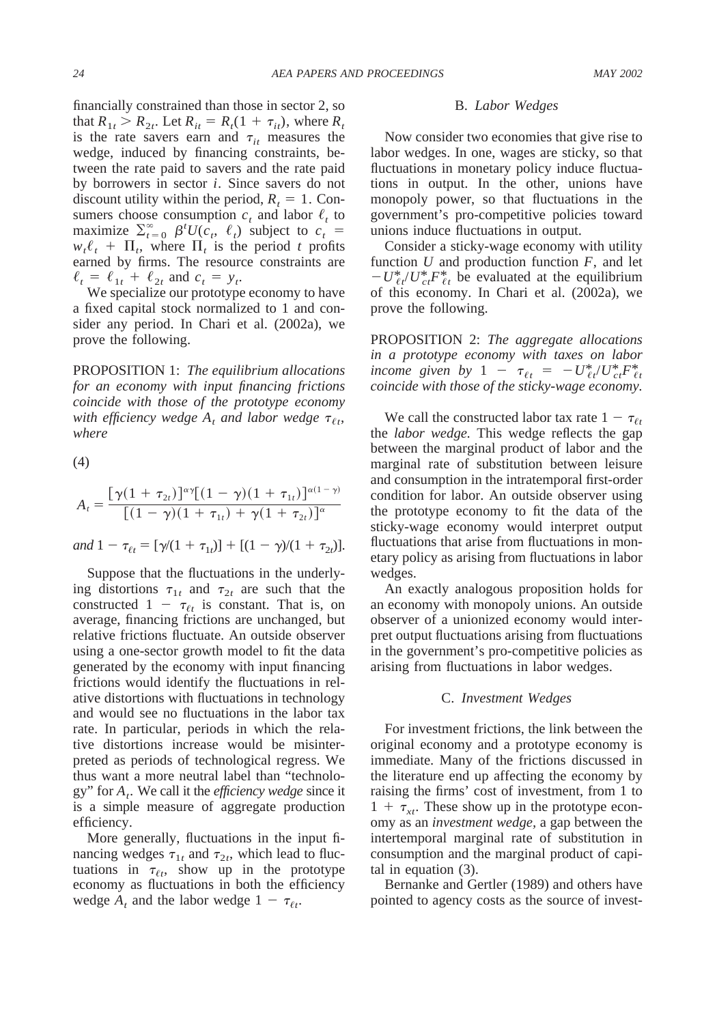financially constrained than those in sector 2, so that  $R_{1t} > R_{2t}$ . Let  $R_{it} = R_t(1 + \tau_{it})$ , where  $R_t$ is the rate savers earn and  $\tau_{it}$  measures the wedge, induced by financing constraints, between the rate paid to savers and the rate paid by borrowers in sector *i*. Since savers do not discount utility within the period,  $R_t = 1$ . Consumers choose consumption  $c_t$  and labor  $\ell_t$  to maximize  $\sum_{t=0}^{\infty} \beta^t U(c_t, \ell_t)$  subject to  $c_t =$  $w_t \ell_t + \Pi_t$ , where  $\Pi_t$  is the period *t* profits earned by firms. The resource constraints are  $\ell_t = \ell_{1t} + \ell_{2t}$  and  $c_t = y_t$ .

We specialize our prototype economy to have a fixed capital stock normalized to 1 and consider any period. In Chari et al. (2002a), we prove the following.

PROPOSITION 1: *The equilibrium allocations for an economy with input financing frictions coincide with those of the prototype economy with efficiency wedge*  $A_t$  *and labor wedge*  $\tau_{\ell t}$ , *where*

(4)

$$
A_{t} = \frac{\left[\gamma(1+\tau_{2t})\right]^{\alpha\gamma}\left[(1-\gamma)(1+\tau_{1t})\right]^{\alpha(1-\gamma)}}{\left[(1-\gamma)(1+\tau_{1t})+\gamma(1+\tau_{2t})\right]^{\alpha}}
$$

*and*  $1 - \tau_{\ell} = [\gamma/(1 + \tau_{1t})] + [(1 - \gamma)/(1 + \tau_{2t})].$ 

Suppose that the fluctuations in the underlying distortions  $\tau_{1t}$  and  $\tau_{2t}$  are such that the constructed  $1 - \tau_{\ell t}$  is constant. That is, on average, financing frictions are unchanged, but relative frictions fluctuate. An outside observer using a one-sector growth model to fit the data generated by the economy with input financing frictions would identify the fluctuations in relative distortions with fluctuations in technology and would see no fluctuations in the labor tax rate. In particular, periods in which the relative distortions increase would be misinterpreted as periods of technological regress. We thus want a more neutral label than "technology" for *At* . We call it the *efficiency wedge* since it is a simple measure of aggregate production efficiency.

More generally, fluctuations in the input financing wedges  $\tau_{1t}$  and  $\tau_{2t}$ , which lead to fluctuations in  $\tau_{\ell t}$ , show up in the prototype economy as fluctuations in both the efficiency wedge  $A_t$  and the labor wedge  $1 - \tau_{\ell t}$ .

### B. *Labor Wedges*

Now consider two economies that give rise to labor wedges. In one, wages are sticky, so that fluctuations in monetary policy induce fluctuations in output. In the other, unions have monopoly power, so that fluctuations in the government's pro-competitive policies toward unions induce fluctuations in output.

Consider a sticky-wage economy with utility function *U* and production function *F*, and let  $-U^*_{\ell t}/U^*_{c t}F^*_{\ell t}$  be evaluated at the equilibrium of this economy. In Chari et al. (2002a), we prove the following.

PROPOSITION 2: *The aggregate allocations in a prototype economy with taxes on labor income given by*  $1 - \tau_{\ell} = -U_{\ell}^*/U_{\ell}^*F_{\ell}^*$ *coincide with those of the sticky-wage economy.*

We call the constructed labor tax rate  $1 - \tau_{\ell t}$ the *labor wedge.* This wedge reflects the gap between the marginal product of labor and the marginal rate of substitution between leisure and consumption in the intratemporal first-order condition for labor. An outside observer using the prototype economy to fit the data of the sticky-wage economy would interpret output fluctuations that arise from fluctuations in monetary policy as arising from fluctuations in labor wedges.

An exactly analogous proposition holds for an economy with monopoly unions. An outside observer of a unionized economy would interpret output fluctuations arising from fluctuations in the government's pro-competitive policies as arising from fluctuations in labor wedges.

#### C. *Investment Wedges*

For investment frictions, the link between the original economy and a prototype economy is immediate. Many of the frictions discussed in the literature end up affecting the economy by raising the firms' cost of investment, from 1 to  $1 + \tau_{xt}$ . These show up in the prototype economy as an *investment wedge,* a gap between the intertemporal marginal rate of substitution in consumption and the marginal product of capital in equation (3).

Bernanke and Gertler (1989) and others have pointed to agency costs as the source of invest-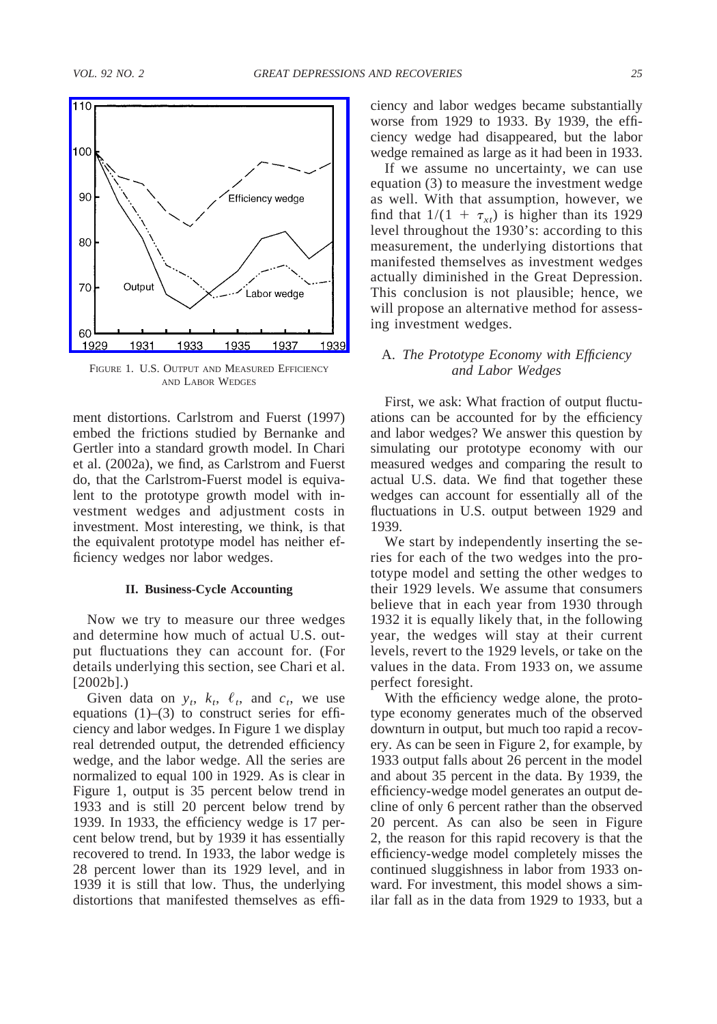

FIGURE 1. U.S. OUTPUT AND MEASURED EFFICIENCY AND LABOR WEDGES

ment distortions. Carlstrom and Fuerst (1997) embed the frictions studied by Bernanke and Gertler into a standard growth model. In Chari et al. (2002a), we find, as Carlstrom and Fuerst do, that the Carlstrom-Fuerst model is equivalent to the prototype growth model with investment wedges and adjustment costs in investment. Most interesting, we think, is that the equivalent prototype model has neither efficiency wedges nor labor wedges.

#### **II. Business-Cycle Accounting**

Now we try to measure our three wedges and determine how much of actual U.S. output fluctuations they can account for. (For details underlying this section, see Chari et al.  $[2002b]$ .)

Given data on  $y_t$ ,  $k_t$ ,  $\ell_t$ , and  $c_t$ , we use equations (1)–(3) to construct series for efficiency and labor wedges. In Figure 1 we display real detrended output, the detrended efficiency wedge, and the labor wedge. All the series are normalized to equal 100 in 1929. As is clear in Figure 1, output is 35 percent below trend in 1933 and is still 20 percent below trend by 1939. In 1933, the efficiency wedge is 17 percent below trend, but by 1939 it has essentially recovered to trend. In 1933, the labor wedge is 28 percent lower than its 1929 level, and in 1939 it is still that low. Thus, the underlying distortions that manifested themselves as efficiency and labor wedges became substantially worse from 1929 to 1933. By 1939, the efficiency wedge had disappeared, but the labor wedge remained as large as it had been in 1933.

If we assume no uncertainty, we can use equation (3) to measure the investment wedge as well. With that assumption, however, we find that  $1/(1 + \tau_{xt})$  is higher than its 1929 level throughout the 1930's: according to this measurement, the underlying distortions that manifested themselves as investment wedges actually diminished in the Great Depression. This conclusion is not plausible; hence, we will propose an alternative method for assessing investment wedges.

### A. *The Prototype Economy with Efficiency and Labor Wedges*

First, we ask: What fraction of output fluctuations can be accounted for by the efficiency and labor wedges? We answer this question by simulating our prototype economy with our measured wedges and comparing the result to actual U.S. data. We find that together these wedges can account for essentially all of the fluctuations in U.S. output between 1929 and 1939.

We start by independently inserting the series for each of the two wedges into the prototype model and setting the other wedges to their 1929 levels. We assume that consumers believe that in each year from 1930 through 1932 it is equally likely that, in the following year, the wedges will stay at their current levels, revert to the 1929 levels, or take on the values in the data. From 1933 on, we assume perfect foresight.

With the efficiency wedge alone, the prototype economy generates much of the observed downturn in output, but much too rapid a recovery. As can be seen in Figure 2, for example, by 1933 output falls about 26 percent in the model and about 35 percent in the data. By 1939, the efficiency-wedge model generates an output decline of only 6 percent rather than the observed 20 percent. As can also be seen in Figure 2, the reason for this rapid recovery is that the efficiency-wedge model completely misses the continued sluggishness in labor from 1933 onward. For investment, this model shows a similar fall as in the data from 1929 to 1933, but a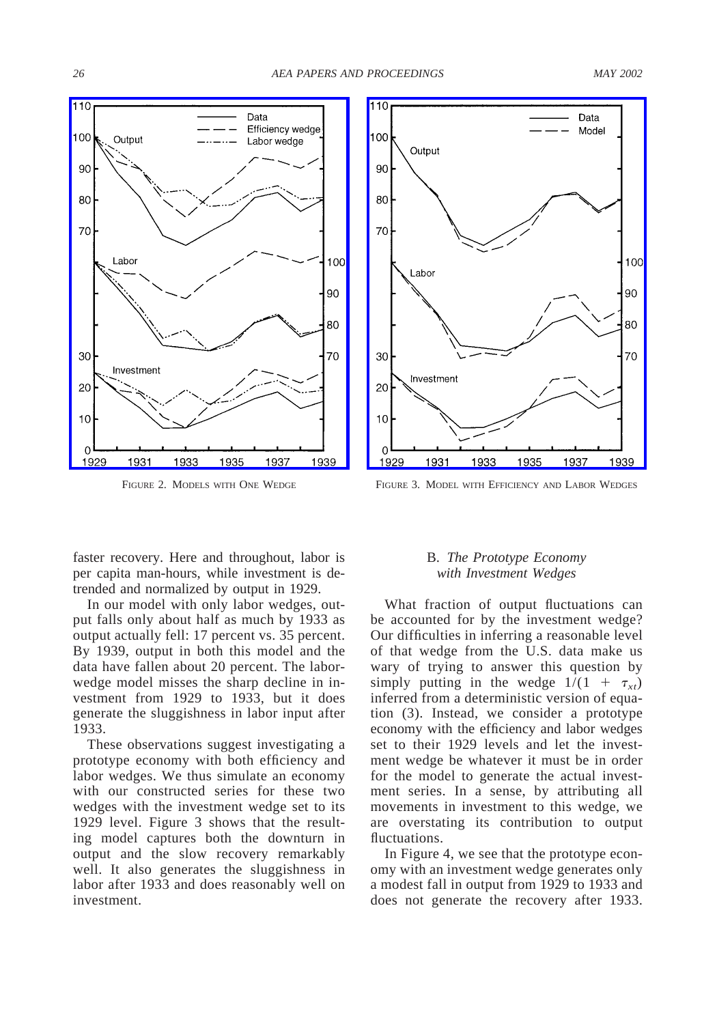



FIGURE 2. MODELS WITH ONE WEDGE FIGURE 3. MODEL WITH EFFICIENCY AND LABOR WEDGES

faster recovery. Here and throughout, labor is per capita man-hours, while investment is detrended and normalized by output in 1929.

In our model with only labor wedges, output falls only about half as much by 1933 as output actually fell: 17 percent vs. 35 percent. By 1939, output in both this model and the data have fallen about 20 percent. The laborwedge model misses the sharp decline in investment from 1929 to 1933, but it does generate the sluggishness in labor input after 1933.

These observations suggest investigating a prototype economy with both efficiency and labor wedges. We thus simulate an economy with our constructed series for these two wedges with the investment wedge set to its 1929 level. Figure 3 shows that the resulting model captures both the downturn in output and the slow recovery remarkably well. It also generates the sluggishness in labor after 1933 and does reasonably well on investment.

# B. *The Prototype Economy with Investment Wedges*

What fraction of output fluctuations can be accounted for by the investment wedge? Our difficulties in inferring a reasonable level of that wedge from the U.S. data make us wary of trying to answer this question by simply putting in the wedge  $1/(1 + \tau_{xt})$ inferred from a deterministic version of equation (3). Instead, we consider a prototype economy with the efficiency and labor wedges set to their 1929 levels and let the investment wedge be whatever it must be in order for the model to generate the actual investment series. In a sense, by attributing all movements in investment to this wedge, we are overstating its contribution to output fluctuations.

In Figure 4, we see that the prototype economy with an investment wedge generates only a modest fall in output from 1929 to 1933 and does not generate the recovery after 1933.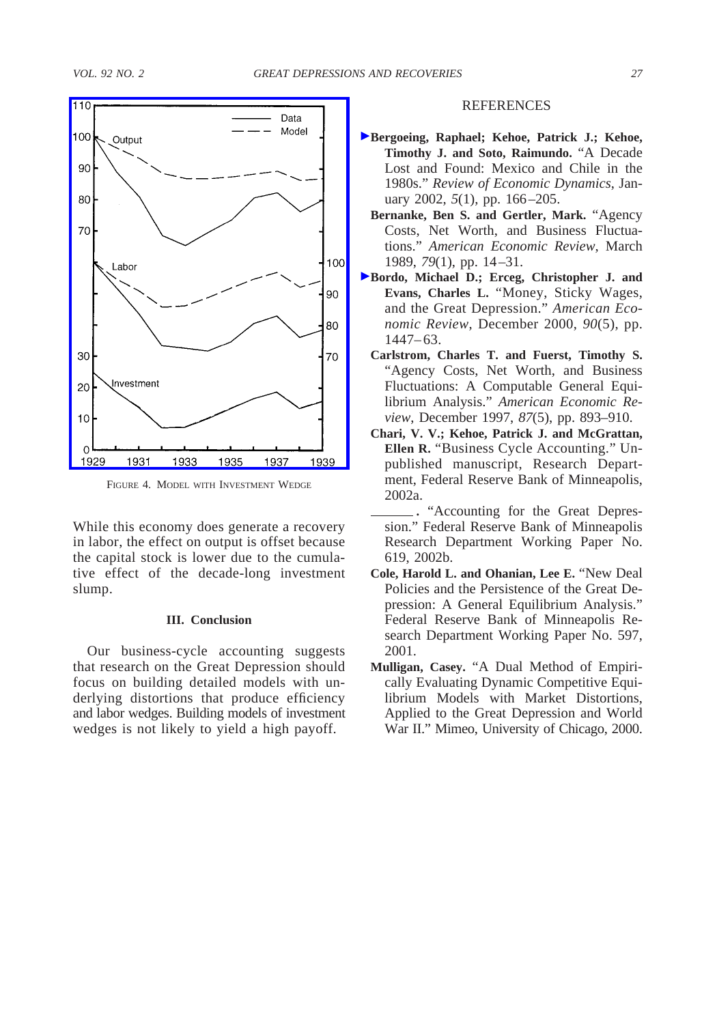

FIGURE 4. MODEL WITH INVESTMENT WEDGE

While this economy does generate a recovery in labor, the effect on output is offset because the capital stock is lower due to the cumulative effect of the decade-long investment slump.

#### **III. Conclusion**

Our business-cycle accounting suggests that research on the Great Depression should focus on building detailed models with underlying distortions that produce efficiency and labor wedges. Building models of investment wedges is not likely to yield a high payoff.

### REFERENCES

- **[B](https://pubs.aeaweb.org/action/showLinks?doi=10.1257%2F000282802320188934&crossref=10.1006%2Fredy.2001.0150&citationId=p_1)ergoeing, Raphael; Kehoe, Patrick J.; Kehoe, Timothy J. and Soto, Raimundo.** "A Decade Lost and Found: Mexico and Chile in the 1980s." *Review of Economic Dynamics*, January 2002, *5*(1), pp. 166–205.
- **Bernanke, Ben S. and Gertler, Mark.** "Agency Costs, Net Worth, and Business Fluctuations." *American Economic Review*, March 1989, *79*(1), pp. 14–31.
- **[B](https://pubs.aeaweb.org/action/showLinks?doi=10.1257%2F000282802320188934&system=10.1257%2Faer.90.5.1447&citationId=p_3)ordo, Michael D.; Erceg, Christopher J. and Evans, Charles L.** "Money, Sticky Wages, and the Great Depression." *American Economic Review*, December 2000, *90*(5), pp. 1447– 63.
	- **Carlstrom, Charles T. and Fuerst, Timothy S.** "Agency Costs, Net Worth, and Business Fluctuations: A Computable General Equilibrium Analysis." *American Economic Review*, December 1997, *87*(5), pp. 893–910.
	- **Chari, V. V.; Kehoe, Patrick J. and McGrattan, Ellen R.** "Business Cycle Accounting." Unpublished manuscript, Research Department, Federal Reserve Bank of Minneapolis, 2002a.
	- **.** "Accounting for the Great Depression." Federal Reserve Bank of Minneapolis Research Department Working Paper No. 619, 2002b.
	- **Cole, Harold L. and Ohanian, Lee E.** "New Deal Policies and the Persistence of the Great Depression: A General Equilibrium Analysis." Federal Reserve Bank of Minneapolis Research Department Working Paper No. 597, 2001.
	- **Mulligan, Casey.** "A Dual Method of Empirically Evaluating Dynamic Competitive Equilibrium Models with Market Distortions, Applied to the Great Depression and World War II." Mimeo, University of Chicago, 2000.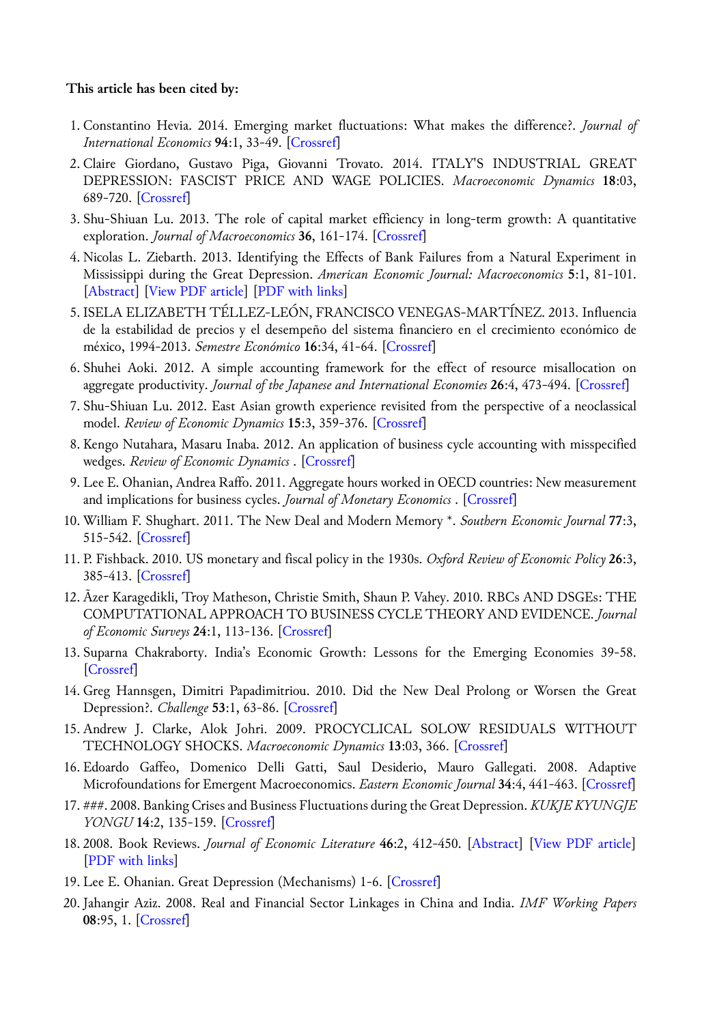## **This article has been cited by:**

- 1. Constantino Hevia. 2014. Emerging market fluctuations: What makes the difference?. *Journal of International Economics* **94**:1, 33-49. [\[Crossref](https://doi.org/10.1016/j.jinteco.2014.05.002)]
- 2. Claire Giordano, Gustavo Piga, Giovanni Trovato. 2014. ITALY'S INDUSTRIAL GREAT DEPRESSION: FASCIST PRICE AND WAGE POLICIES. *Macroeconomic Dynamics* **18**:03, 689-720. [\[Crossref\]](https://doi.org/10.1017/S1365100512000570)
- 3. Shu-Shiuan Lu. 2013. The role of capital market efficiency in long-term growth: A quantitative exploration. *Journal of Macroeconomics* **36**, 161-174. [\[Crossref](https://doi.org/10.1016/j.jmacro.2012.12.002)]
- 4. Nicolas L. Ziebarth. 2013. Identifying the Effects of Bank Failures from a Natural Experiment in Mississippi during the Great Depression. *American Economic Journal: Macroeconomics* **5**:1, 81-101. [\[Abstract](https://doi.org/10.1257/mac.5.1.81)] [\[View PDF article](https://pubs.aeaweb.org/doi/pdf/10.1257/mac.5.1.81)] [[PDF with links](https://pubs.aeaweb.org/doi/pdfplus/10.1257/mac.5.1.81)]
- 5. ISELA ELIZABETH TÉLLEZ-LEÓN, FRANCISCO VENEGAS-MARTÍNEZ. 2013. Influencia de la estabilidad de precios y el desempeño del sistema financiero en el crecimiento económico de méxico, 1994-2013. *Semestre Económico* **16**:34, 41-64. [[Crossref\]](https://doi.org/10.22395/seec.v16n34a2)
- 6. Shuhei Aoki. 2012. A simple accounting framework for the effect of resource misallocation on aggregate productivity. *Journal of the Japanese and International Economies* **26**:4, 473-494. [\[Crossref](https://doi.org/10.1016/j.jjie.2012.08.001)]
- 7. Shu-Shiuan Lu. 2012. East Asian growth experience revisited from the perspective of a neoclassical model. *Review of Economic Dynamics* **15**:3, 359-376. [\[Crossref](https://doi.org/10.1016/j.red.2012.04.002)]
- 8. Kengo Nutahara, Masaru Inaba. 2012. An application of business cycle accounting with misspecified wedges. *Review of Economic Dynamics* . [[Crossref\]](https://doi.org/10.1016/j.red.2012.01.004)
- 9. Lee E. Ohanian, Andrea Raffo. 2011. Aggregate hours worked in OECD countries: New measurement and implications for business cycles. *Journal of Monetary Economics* . [[Crossref\]](https://doi.org/10.1016/j.jmoneco.2011.11.005)
- 10. William F. Shughart. 2011. The New Deal and Modern Memory \*. *Southern Economic Journal* **77**:3, 515-542. [\[Crossref\]](https://doi.org/10.4284/sej.2011.77.3.515)
- 11. P. Fishback. 2010. US monetary and fiscal policy in the 1930s. *Oxford Review of Economic Policy* **26**:3, 385-413. [\[Crossref\]](https://doi.org/10.1093/oxrep/grq029)
- 12. Ãzer Karagedikli, Troy Matheson, Christie Smith, Shaun P. Vahey. 2010. RBCs AND DSGEs: THE COMPUTATIONAL APPROACH TO BUSINESS CYCLE THEORY AND EVIDENCE. *Journal of Economic Surveys* **24**:1, 113-136. [\[Crossref](https://doi.org/10.1111/j.1467-6419.2009.00589.x)]
- 13. Suparna Chakraborty. India's Economic Growth: Lessons for the Emerging Economies 39-58. [\[Crossref](https://doi.org/10.1057/9780230282094_3)]
- 14. Greg Hannsgen, Dimitri Papadimitriou. 2010. Did the New Deal Prolong or Worsen the Great Depression?. *Challenge* **53**:1, 63-86. [\[Crossref](https://doi.org/10.2753/0577-5132530103)]
- 15. Andrew J. Clarke, Alok Johri. 2009. PROCYCLICAL SOLOW RESIDUALS WITHOUT TECHNOLOGY SHOCKS. *Macroeconomic Dynamics* **13**:03, 366. [\[Crossref\]](https://doi.org/10.1017/S1365100509080043)
- 16. Edoardo Gaffeo, Domenico Delli Gatti, Saul Desiderio, Mauro Gallegati. 2008. Adaptive Microfoundations for Emergent Macroeconomics. *Eastern Economic Journal* **34**:4, 441-463. [[Crossref\]](https://doi.org/10.1057/eej.2008.27)
- 17. ###. 2008. Banking Crises and Business Fluctuations during the Great Depression. *KUKJE KYUNGJE YONGU* **14**:2, 135-159. [\[Crossref](https://doi.org/10.17298/kky.2008.14.2.006)]
- 18. 2008. Book Reviews. *Journal of Economic Literature* **46**:2, 412-450. [\[Abstract](https://doi.org/10.1257/jel.46.2.412)] [[View PDF article\]](https://pubs.aeaweb.org/doi/pdf/10.1257/jel.46.2.412) [\[PDF with links\]](https://pubs.aeaweb.org/doi/pdfplus/10.1257/jel.46.2.412)
- 19. Lee E. Ohanian. Great Depression (Mechanisms) 1-6. [\[Crossref](https://doi.org/10.1057/978-1-349-95121-5_2394-1)]
- 20. Jahangir Aziz. 2008. Real and Financial Sector Linkages in China and India. *IMF Working Papers* **08**:95, 1. [[Crossref\]](https://doi.org/10.5089/9781451869569.001)